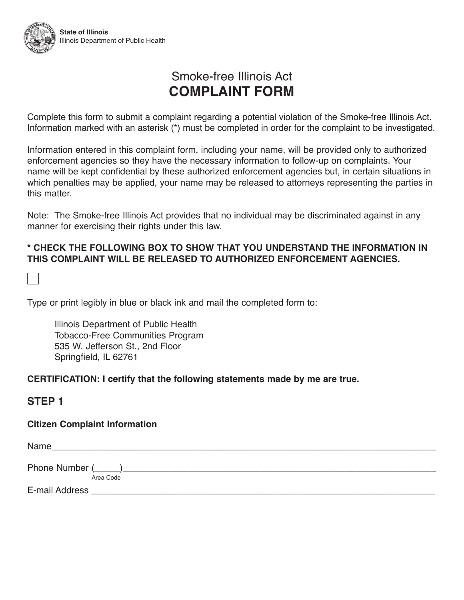# Smoke-free Illinois Act **COMPLAINT FORM**

Complete this form to submit a complaint regarding a potential violation of the Smoke-free Illinois Act. Information marked with an asterisk (\*) must be completed in order for the complaint to be investigated.

Information entered in this complaint form, including your name, will be provided only to authorized enforcement agencies so they have the necessary information to follow-up on complaints. Your name will be kept confidential by these authorized enforcement agencies but, in certain situations in which penalties may be applied, your name may be released to attorneys representing the parties in this matter.

Note: The Smoke-free Illinois Act provides that no individual may be discriminated against in any manner for exercising their rights under this law.

#### **\* CHECK THE FOLLOWING BOX TO SHOW THAT YOU UNDERSTAND THE INFORMATION IN THIS COMPLAINT WILL BE RELEASED TO AUTHORIZED ENFORCEMENT AGENCIES.**

Type or print legibly in blue or black ink and mail the completed form to:

Illinois Department of Public Health Tobacco-Free Communities Program 535 W. Jefferson St., 2nd Floor Springfield, IL 62761

#### **CERTIFICATION: I certify that the following statements made by me are true.**

### **STEP 1**

#### **Citizen Complaint Information**

| Name           |           |
|----------------|-----------|
| Phone Number ( |           |
|                | Area Code |
| E-mail Address |           |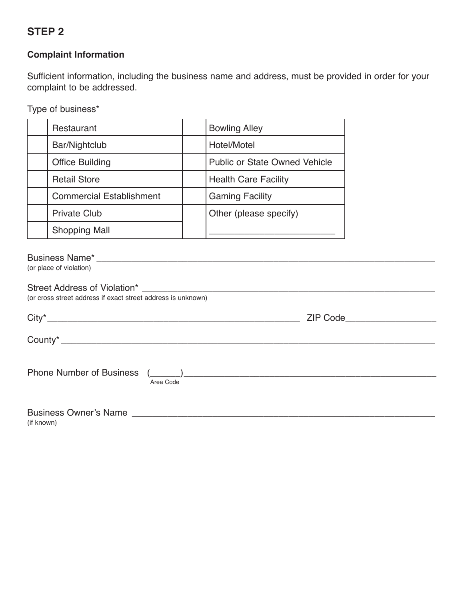### **STEP 2**

#### **Complaint Information**

Sufficient information, including the business name and address, must be provided in order for your complaint to be addressed.

Type of business\*

| Restaurant                      | <b>Bowling Alley</b>                 |
|---------------------------------|--------------------------------------|
| Bar/Nightclub                   | Hotel/Motel                          |
| <b>Office Building</b>          | <b>Public or State Owned Vehicle</b> |
| <b>Retail Store</b>             | <b>Health Care Facility</b>          |
| <b>Commercial Establishment</b> | <b>Gaming Facility</b>               |
| <b>Private Club</b>             | Other (please specify)               |
| <b>Shopping Mall</b>            |                                      |

#### Business Name\* \_\_\_\_\_\_\_\_\_\_\_\_\_\_\_\_\_\_\_\_\_\_\_\_\_\_\_\_\_\_\_\_\_\_\_\_\_\_\_\_\_\_\_\_\_\_\_\_\_\_\_\_\_\_\_\_\_\_\_\_\_\_\_\_\_\_\_

(or place of violation)

| (or cross street address if exact street address is unknown) |                                                                                                                                                                                                                                |  |  |  |
|--------------------------------------------------------------|--------------------------------------------------------------------------------------------------------------------------------------------------------------------------------------------------------------------------------|--|--|--|
| $City*$                                                      | ZIP Code and the contract of the contract of the contract of the contract of the contract of the contract of the contract of the contract of the contract of the contract of the contract of the contract of the contract of t |  |  |  |
|                                                              |                                                                                                                                                                                                                                |  |  |  |
| <b>Phone Number of Business</b><br>Area Code                 | $\begin{pmatrix} 1 & 1 \end{pmatrix}$                                                                                                                                                                                          |  |  |  |
|                                                              |                                                                                                                                                                                                                                |  |  |  |

(if known)